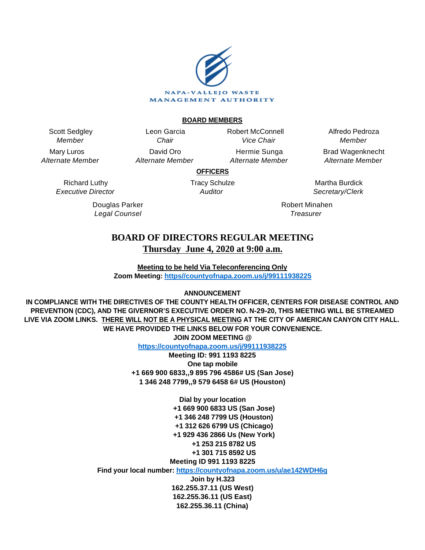

#### **BOARD MEMBERS**

Scott Sedgley Member

Mary Luros Alternate Member

Leon Garcia **Chair** David Oro Alternate Member Robert McConnell Vice Chair

Hermie Sunga Alternate Member

Alfredo Pedroza Member Brad Wagenknecht

Alternate Member

**OFFICERS**

Richard Luthy Executive Director

> Douglas Parker Legal Counsel

Tracy Schulze **Auditor** 

Martha Burdick Secretary/Clerk

Robert Minahen **Treasurer** 

# **BOARD OF DIRECTORS REGULAR MEETING Thursday June 4, 2020 at 9:00 a.m.**

**Meeting to be held Via Teleconferencing Only Zoom Meeting: [https//countyofnapa.zoom.us/j/99111938225](http://intranetprod01/AgendaNet/Reports/https//countyofnapa.zoom.us/j/99111938225)**

# **ANNOUNCEMENT**

**IN COMPLIANCE WITH THE DIRECTIVES OF THE COUNTY HEALTH OFFICER, CENTERS FOR DISEASE CONTROL AND PREVENTION (CDC), AND THE GIVERNOR'S EXECUTIVE ORDER NO. N-29-20, THIS MEETING WILL BE STREAMED LIVE VIA ZOOM LINKS. THERE WILL NOT BE A PHYSICAL MEETING AT THE CITY OF AMERICAN CANYON CITY HALL. WE HAVE PROVIDED THE LINKS BELOW FOR YOUR CONVENIENCE. JOIN ZOOM MEETING @**

**<https://countyofnapa.zoom.us/j/99111938225>**

**Meeting ID: 991 1193 8225 One tap mobile +1 669 900 6833,,9 895 796 4586# US (San Jose) 1 346 248 7799,,9 579 6458 6# US (Houston)**

> **Dial by your location +1 669 900 6833 US (San Jose) +1 346 248 7799 US (Houston) +1 312 626 6799 US (Chicago) +1 929 436 2866 Us (New York) +1 253 215 8782 US +1 301 715 8592 US Meeting ID 991 1193 8225**

**Find your local number:<https://countyofnapa.zoom.us/u/ae142WDH6q>**

**Join by H.323 162.255.37.11 (US West) 162.255.36.11 (US East) 162.255.36.11 (China)**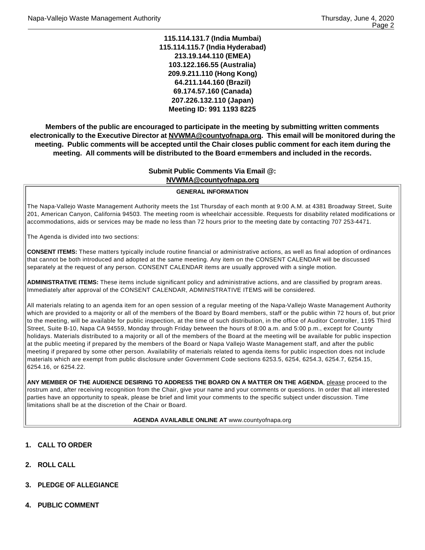**115.114.131.7 (India Mumbai) 115.114.115.7 (India Hyderabad) 213.19.144.110 (EMEA) 103.122.166.55 (Australia) 209.9.211.110 (Hong Kong) 64.211.144.160 (Brazil) 69.174.57.160 (Canada) 207.226.132.110 (Japan) Meeting ID: 991 1193 8225**

**Members of the public are encouraged to participate in the meeting by submitting written comments electronically to the Executive Director at NVWMA@countyofnapa.org. This email will be monitored during the meeting. Public comments will be accepted until the Chair closes public comment for each item during the meeting. All comments will be distributed to the Board e=members and included in the records.**

# **Submit Public Comments Via Email @: NVWMA@countyofnapa.org**

#### **GENERAL INFORMATION**

The Napa-Vallejo Waste Management Authority meets the 1st Thursday of each month at 9:00 A.M. at 4381 Broadway Street, Suite 201, American Canyon, California 94503. The meeting room is wheelchair accessible. Requests for disability related modifications or accommodations, aids or services may be made no less than 72 hours prior to the meeting date by contacting 707 253-4471.

The Agenda is divided into two sections:

**CONSENT ITEMS:** These matters typically include routine financial or administrative actions, as well as final adoption of ordinances that cannot be both introduced and adopted at the same meeting. Any item on the CONSENT CALENDAR will be discussed separately at the request of any person. CONSENT CALENDAR items are usually approved with a single motion.

**ADMINISTRATIVE ITEMS:** These items include significant policy and administrative actions, and are classified by program areas. Immediately after approval of the CONSENT CALENDAR, ADMINISTRATIVE ITEMS will be considered.

All materials relating to an agenda item for an open session of a regular meeting of the Napa-Vallejo Waste Management Authority which are provided to a majority or all of the members of the Board by Board members, staff or the public within 72 hours of, but prior to the meeting, will be available for public inspection, at the time of such distribution, in the office of Auditor Controller, 1195 Third Street, Suite B-10, Napa CA 94559, Monday through Friday between the hours of 8:00 a.m. and 5:00 p.m., except for County holidays. Materials distributed to a majority or all of the members of the Board at the meeting will be available for public inspection at the public meeting if prepared by the members of the Board or Napa Vallejo Waste Management staff, and after the public meeting if prepared by some other person. Availability of materials related to agenda items for public inspection does not include materials which are exempt from public disclosure under Government Code sections 6253.5, 6254, 6254.3, 6254.7, 6254.15, 6254.16, or 6254.22.

**ANY MEMBER OF THE AUDIENCE DESIRING TO ADDRESS THE BOARD ON A MATTER ON THE AGENDA**, please proceed to the rostrum and, after receiving recognition from the Chair, give your name and your comments or questions. In order that all interested parties have an opportunity to speak, please be brief and limit your comments to the specific subject under discussion. Time limitations shall be at the discretion of the Chair or Board.

#### **AGENDA AVAILABLE ONLINE AT** www.countyofnapa.org

- **1. CALL TO ORDER**
- **2. ROLL CALL**
- **3. PLEDGE OF ALLEGIANCE**
- **4. PUBLIC COMMENT**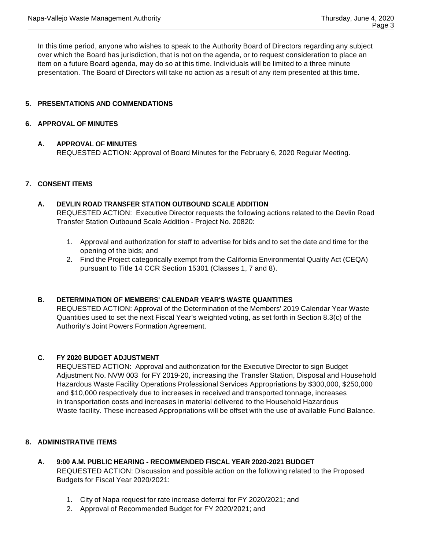In this time period, anyone who wishes to speak to the Authority Board of Directors regarding any subject over which the Board has jurisdiction, that is not on the agenda, or to request consideration to place an item on a future Board agenda, may do so at this time. Individuals will be limited to a three minute presentation. The Board of Directors will take no action as a result of any item presented at this time.

# **5. PRESENTATIONS AND COMMENDATIONS**

# **6. APPROVAL OF MINUTES**

#### **A. APPROVAL OF MINUTES**

REQUESTED ACTION: Approval of Board Minutes for the February 6, 2020 Regular Meeting.

# **7. CONSENT ITEMS**

# **A. DEVLIN ROAD TRANSFER STATION OUTBOUND SCALE ADDITION** REQUESTED ACTION: Executive Director requests the following actions related to the Devlin Road Transfer Station Outbound Scale Addition - Project No. 20820:

- 1. Approval and authorization for staff to advertise for bids and to set the date and time for the opening of the bids; and
- 2. Find the Project categorically exempt from the California Environmental Quality Act (CEQA) pursuant to Title 14 CCR Section 15301 (Classes 1, 7 and 8).

# **B. DETERMINATION OF MEMBERS' CALENDAR YEAR'S WASTE QUANTITIES**

REQUESTED ACTION: Approval of the Determination of the Members' 2019 Calendar Year Waste Quantities used to set the next Fiscal Year's weighted voting, as set forth in Section 8.3(c) of the Authority's Joint Powers Formation Agreement.

# **C. FY 2020 BUDGET ADJUSTMENT**

REQUESTED ACTION: Approval and authorization for the Executive Director to sign Budget Adjustment No. NVW 003 for FY 2019-20, increasing the Transfer Station, Disposal and Household Hazardous Waste Facility Operations Professional Services Appropriations by \$300,000, \$250,000 and \$10,000 respectively due to increases in received and transported tonnage, increases in transportation costs and increases in material delivered to the Household Hazardous Waste facility. These increased Appropriations will be offset with the use of available Fund Balance.

# **8. ADMINISTRATIVE ITEMS**

- **A. 9:00 A.M. PUBLIC HEARING RECOMMENDED FISCAL YEAR 2020-2021 BUDGET**  REQUESTED ACTION: Discussion and possible action on the following related to the Proposed Budgets for Fiscal Year 2020/2021:
	- 1. City of Napa request for rate increase deferral for FY 2020/2021; and
	- 2. Approval of Recommended Budget for FY 2020/2021; and